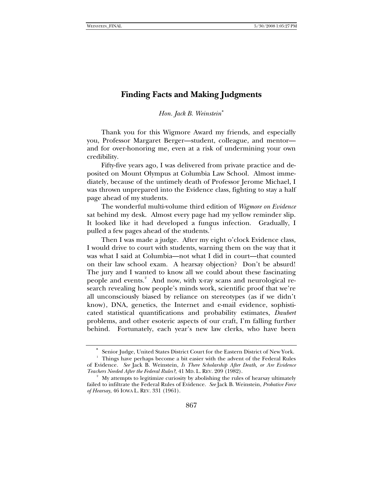## **Finding Facts and Making Judgments**

*Hon. Jack B. Weinstein*[∗](#page-0-0)

Thank you for this Wigmore Award my friends, and especially you, Professor Margaret Berger—student, colleague, and mentor and for over-honoring me, even at a risk of undermining your own credibility.

Fifty-five years ago, I was delivered from private practice and deposited on Mount Olympus at Columbia Law School. Almost immediately, because of the untimely death of Professor Jerome Michael, I was thrown unprepared into the Evidence class, fighting to stay a half page ahead of my students.

The wonderful multi-volume third edition of *Wigmore on Evidence* sat behind my desk. Almost every page had my yellow reminder slip. It looked like it had developed a fungus infection. Gradually, I pulled a few pages ahead of the students.<sup>[1](#page-0-1)</sup>

Then I was made a judge. After my eight o'clock Evidence class, I would drive to court with students, warning them on the way that it was what I said at Columbia—not what I did in court—that counted on their law school exam. A hearsay objection? Don't be absurd! The jury and I wanted to know all we could about these fascinating people and events.<sup>[2](#page-0-2)</sup> And now, with x-ray scans and neurological research revealing how people's minds work, scientific proof that we're all unconsciously biased by reliance on stereotypes (as if we didn't know), DNA, genetics, the Internet and e-mail evidence, sophisticated statistical quantifications and probability estimates, *Daubert*  problems, and other esoteric aspects of our craft, I'm falling further behind. Fortunately, each year's new law clerks, who have been

Senior Judge, United States District Court for the Eastern District of New York.

<span id="page-0-1"></span><span id="page-0-0"></span>Things have perhaps become a bit easier with the advent of the Federal Rules of Evidence. *See* Jack B. Weinstein, *Is There Scholarship After Death, or Are Evidence Teachers Needed After the Federal Rules?*, 41 MD. L. REV. 209 (1982).

<span id="page-0-2"></span><sup>&</sup>lt;sup>2</sup> My attempts to legitimize curiosity by abolishing the rules of hearsay ultimately failed to infiltrate the Federal Rules of Evidence. *See* Jack B. Weinstein, *Probative Force of Hearsay*, 46 IOWA L. REV. 331 (1961).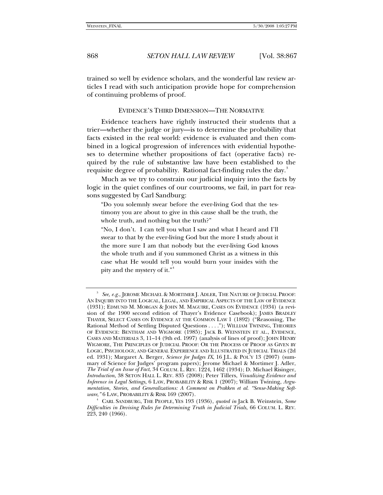868 *SETON HALL LAW REVIEW* [Vol. 38:867

trained so well by evidence scholars, and the wonderful law review articles I read with such anticipation provide hope for comprehension of continuing problems of proof.

EVIDENCE'S THIRD DIMENSION—THE NORMATIVE

Evidence teachers have rightly instructed their students that a trier—whether the judge or jury—is to determine the probability that facts existed in the real world: evidence is evaluated and then combined in a logical progression of inferences with evidential hypotheses to determine whether propositions of fact (operative facts) required by the rule of substantive law have been established to the requisite degree of probability. Rational fact-finding rules the day.<sup>[3](#page-1-0)</sup>

Much as we try to constrain our judicial inquiry into the facts by logic in the quiet confines of our courtrooms, we fail, in part for reasons suggested by Carl Sandburg:

"Do you solemnly swear before the ever-living God that the testimony you are about to give in this cause shall be the truth, the whole truth, and nothing but the truth?"

"No, I don't. I can tell you what I saw and what I heard and I'll swear to that by the ever-living God but the more I study about it the more sure I am that nobody but the ever-living God knows the whole truth and if you summoned Christ as a witness in this case what He would tell you would burn your insides with the pity and the mystery of it."[4](#page-1-1)

<span id="page-1-0"></span><sup>3</sup> *See, e.g.*, JEROME MICHAEL & MORTIMER J. ADLER, THE NATURE OF JUDICIAL PROOF: AN INQUIRY INTO THE LOGICAL, LEGAL, AND EMPIRICAL ASPECTS OF THE LAW OF EVIDENCE (1931); EDMUND M. MORGAN & JOHN M. MAGUIRE, CASES ON EVIDENCE (1934) (a revision of the 1900 second edition of Thayer's Evidence Casebook); JAMES BRADLEY THAYER, SELECT CASES ON EVIDENCE AT THE COMMON LAW 1 (1892) ("Reasoning, The Rational Method of Settling Disputed Questions . . . ."); WILLIAM TWINING, THEORIES OF EVIDENCE: BENTHAM AND WIGMORE (1985); JACK B. WEINSTEIN ET AL., EVIDENCE, CASES AND MATERIALS 3, 11–14 (9th ed. 1997) (analysis of lines of proof); JOHN HENRY WIGMORE, THE PRINCIPLES OF JUDICIAL PROOF: OR THE PROCESS OF PROOF AS GIVEN BY LOGIC, PSYCHOLOGY, AND GENERAL EXPERIENCE AND ILLUSTRATED IN JUDICIAL TRIALS (2d ed. 1931); Margaret A. Berger, *Science for Judges IX*, 16 J.L. & POL'Y 13 (2007) (summary of Science for Judges' program papers); Jerome Michael & Mortimer J. Adler, *The Trial of an Issue of Fact*, 34 COLUM. L. REV. 1224, 1462 (1934); D. Michael Risinger, *Introduction*, 38 SETON HALL L. REV. 835 (2008); Peter Tillers, *Visualizing Evidence and Inference in Legal Settings*, 6 LAW, PROBABILITY & RISK 1 (2007); William Twining, *Argumentation, Stories, and Generalizations: A Comment on Prakken et al. "Sense-Making Software*,*"* 6 LAW, PROBABILITY & RISK 169 (2007).

<span id="page-1-1"></span><sup>4</sup> CARL SANDBURG, THE PEOPLE, YES 193 (1936), *quoted in* Jack B. Weinstein, *Some Difficulties in Devising Rules for Determining Truth in Judicial Trials*, 66 COLUM. L. REV. 223, 240 (1966).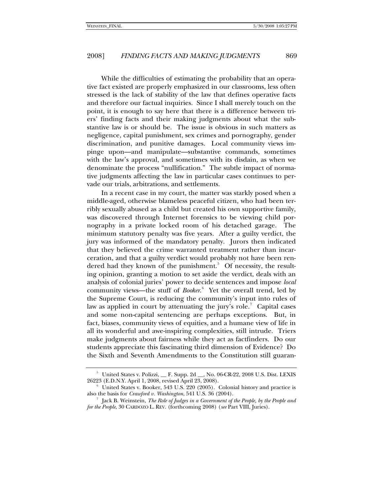## 2008] *FINDING FACTS AND MAKING JUDGMENTS* 869

While the difficulties of estimating the probability that an operative fact existed are properly emphasized in our classrooms, less often stressed is the lack of stability of the law that defines operative facts and therefore our factual inquiries. Since I shall merely touch on the point, it is enough to say here that there is a difference between triers' finding facts and their making judgments about what the substantive law is or should be. The issue is obvious in such matters as negligence, capital punishment, sex crimes and pornography, gender discrimination, and punitive damages. Local community views impinge upon—and manipulate—substantive commands, sometimes with the law's approval, and sometimes with its disdain, as when we denominate the process "nullification." The subtle impact of normative judgments affecting the law in particular cases continues to pervade our trials, arbitrations, and settlements.

In a recent case in my court, the matter was starkly posed when a middle-aged, otherwise blameless peaceful citizen, who had been terribly sexually abused as a child but created his own supportive family, was discovered through Internet forensics to be viewing child pornography in a private locked room of his detached garage. The minimum statutory penalty was five years. After a guilty verdict, the jury was informed of the mandatory penalty. Jurors then indicated that they believed the crime warranted treatment rather than incarceration, and that a guilty verdict would probably not have been ren-dered had they known of the punishment.<sup>[5](#page-2-0)</sup> Of necessity, the resulting opinion, granting a motion to set aside the verdict, deals with an analysis of colonial juries' power to decide sentences and impose *local* community views—the stuff of *Booker*.<sup>[6](#page-2-1)</sup> Yet the overall trend, led by the Supreme Court, is reducing the community's input into rules of law as applied in court by attenuating the jury's role.<sup>[7](#page-2-2)</sup> Capital cases and some non-capital sentencing are perhaps exceptions. But, in fact, biases, community views of equities, and a humane view of life in all its wonderful and awe-inspiring complexities, still intrude. Triers make judgments about fairness while they act as factfinders. Do our students appreciate this fascinating third dimension of Evidence? Do the Sixth and Seventh Amendments to the Constitution still guaran-

<span id="page-2-0"></span> $^5$  United States v. Polizzi,  $\_$  F. Supp. 2d  $\_$ , No. 06-CR-22, 2008 U.S. Dist. LEXIS 26223 (E.D.N.Y. April 1, 2008, revised April 23, 2008).

<span id="page-2-1"></span><sup>6</sup> United States v. Booker, 543 U.S. 220 (2005). Colonial history and practice is also the basis for *Crawford v. Washington*, 541 U.S. 36 (2004).

<span id="page-2-2"></span><sup>7</sup> Jack B. Weinstein, *The Role of Judges in a Government of the People, by the People and for the People*, 30 CARDOZO L. REV. (forthcoming 2008) (*see* Part VIII, Juries).